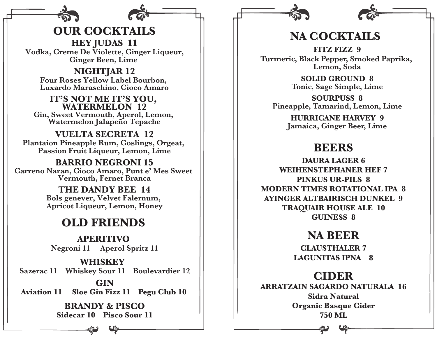**OUR COCKTAILS HEY JUDAS 11 Vodka, Creme De Violette, Ginger Liqueur, Ginger Been, Lime** 

**NIGHTJAR 12 Four Roses Yellow Label Bourbon, Luxardo Maraschino, Cioco Amaro**

**IT'S NOT ME IT'S YOU, WATERMELON 12 Gin, Sweet Vermouth, Aperol, Lemon, Watermelon Jalapeño Tepache**

**VUELTA SECRETA 12 Plantaion Pineapple Rum, Goslings, Orgeat, Passion Fruit Liqueur, Lemon, Lime**

**BARRIO NEGRONI 15 Carreno Naran, Cioco Amaro, Punt e' Mes Sweet Vermouth, Fernet Branca**

> **THE DANDY BEE 14 Bols genever, Velvet Falernum, Apricot Liqueur, Lemon, Honey**

## **OLD FRIENDS**

**APERITIVO Negroni 11 Aperol Spritz 11**

## **GIN WHISKEY Sazerac 11 Whiskey Sour 11 Boulevardier 12**

**Aviation 11 Sloe Gin Fizz 11 Pegu Club 10** 

## **BRANDY & PISCO Sidecar 10 Pisco Sour 11**



**FITZ FIZZ 9 Turmeric, Black Pepper, Smoked Paprika, Lemon, Soda**

> **SOLID GROUND 8 Tonic, Sage Simple, Lime**

**SOURPUSS 8 Pineapple, Tamarind, Lemon, Lime**

> **HURRICANE HARVEY 9 Jamaica, Ginger Beer, Lime**

# **BEERS**

**DAURA LAGER 6 WEIHENSTEPHANER HEF 7 PINKUS UR-PILS 8 MODERN TIMES ROTATIONAL IPA 8 AYINGER ALTBAIRISCH DUNKEL 9 TRAQUAIR HOUSE ALE 10 GUINESS 8**

# **NA BEER**

**CLAUSTHALER 7 LAGUNITAS IPNA 8**

## **CIDER**

**ARRATZAIN SAGARDO NATURALA 16 Sidra Natural Organic Basque Cider 750 ML**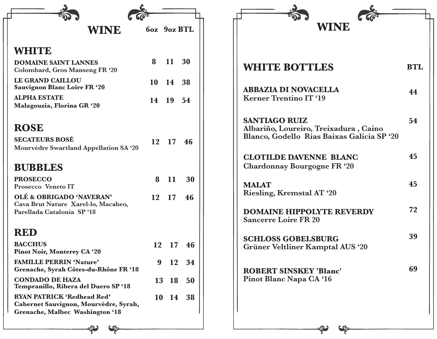| WINE                                                                                                          | 6oz 9oz BTL      |           |          | <b>WINE</b>                                                                                                 |            |
|---------------------------------------------------------------------------------------------------------------|------------------|-----------|----------|-------------------------------------------------------------------------------------------------------------|------------|
| <b>WHITE</b>                                                                                                  |                  |           |          |                                                                                                             |            |
| <b>DOMAINE SAINT LANNES</b><br>Colombard, Gros Manseng FR '20                                                 | 8                | 11        | 30       | <b>WHITE BOTTLES</b>                                                                                        | <b>BTL</b> |
| <b>LE GRAND CAILLOU</b><br><b>Sauvignon Blanc Loire FR '20</b>                                                |                  | 10 14 38  |          |                                                                                                             |            |
| <b>ALPHA ESTATE</b><br>Malagouzia, Florina GR '20                                                             |                  | 14 19 54  |          | <b>ABBAZIA DI NOVACELLA</b><br><b>Kerner Trentino IT '19</b>                                                | 44         |
| <b>ROSE</b><br><b>SECATEURS ROSÉ</b><br>Mourvèdre Swartland Appellation SA '20                                |                  | 12 17 46  |          | <b>SANTIAGO RUIZ</b><br>Albariño, Loureiro, Treixadura, Caino<br>Blanco, Godello Rias Baixas Galicia SP '20 | 54         |
| <b>BUBBLES</b>                                                                                                |                  |           |          | <b>CLOTILDE DAVENNE BLANC</b><br>Chardonnay Bourgogne FR '20                                                | 45         |
| <b>PROSECCO</b><br>Prosecco Veneto IT                                                                         | 8                | 11        | 30       | <b>MALAT</b>                                                                                                | 45         |
| OLÉ & OBRIGADO 'NAVERAN'<br>Cava Brut Nature Xarel-lo, Macabeo,<br>Parellada Catalonia SP '18                 | 12               | 17        | 46       | Riesling, Kremstal AT '20<br><b>DOMAINE HIPPOLYTE REVERDY</b>                                               | 72         |
| <b>RED</b>                                                                                                    |                  |           |          | <b>Sancerre Loire FR 20</b>                                                                                 |            |
| <b>BACCHUS</b><br><b>Pinot Noir, Monterey CA '20</b>                                                          | 12               | 17        | 46       | <b>SCHLOSS GOBELSBURG</b><br>Grüner Veltliner Kamptal AUS '20                                               | 39         |
| <b>FAMILLE PERRIN 'Nature'</b><br>Grenache, Syrah Côtes-du-Rhône FR '18                                       | $\boldsymbol{9}$ | <b>12</b> | 34       | <b>ROBERT SINSKEY 'Blanc'</b>                                                                               | 69         |
| <b>CONDADO DE HAZA</b><br>Tempranillo, Ribera del Duero SP '18                                                |                  | 13 18     | 50       | Pinot Blanc Napa CA '16                                                                                     |            |
| <b>RYAN PATRICK 'Redhead Red'</b><br>Cabernet Sauvignon, Mourvèdre, Syrah,<br>Grenache, Malbec Washington '18 |                  |           | 10 14 38 |                                                                                                             |            |
|                                                                                                               |                  |           |          |                                                                                                             |            |